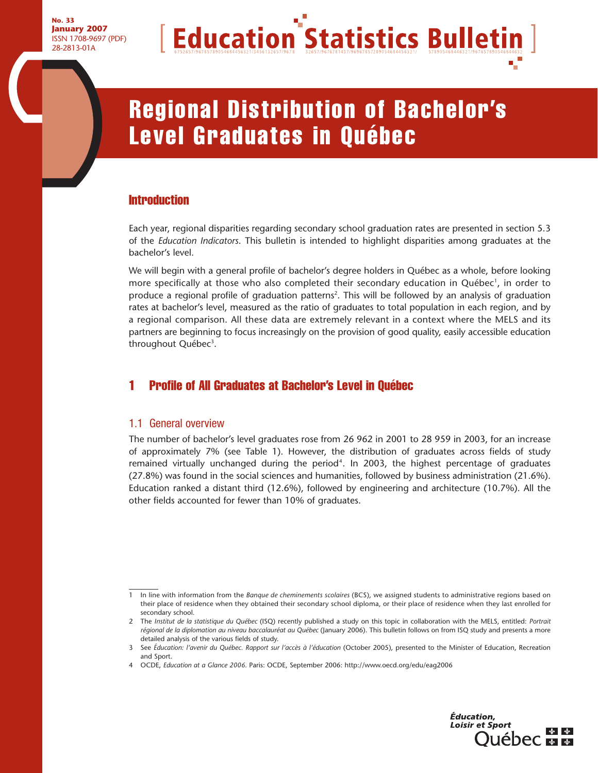

# Regional Distribution of Bachelor's Level Graduates in Québec

# **Introduction**

Each year, regional disparities regarding secondary school graduation rates are presented in section 5.3 of the *Education Indicators*. This bulletin is intended to highlight disparities among graduates at the bachelor's level.

We will begin with a general profile of bachelor's degree holders in Québec as a whole, before looking more specifically at those who also completed their secondary education in Québec $^{\intercal}$ , in order to produce a regional profile of graduation patterns<sup>2</sup>. This will be followed by an analysis of graduation rates at bachelor's level, measured as the ratio of graduates to total population in each region, and by a regional comparison. All these data are extremely relevant in a context where the MELS and its partners are beginning to focus increasingly on the provision of good quality, easily accessible education throughout Québec<sup>3</sup>.

# 1 Profile of All Graduates at Bachelor's Level in Québec

## 1.1 General overview

The number of bachelor's level graduates rose from 26 962 in 2001 to 28 959 in 2003, for an increase of approximately 7% (see Table 1). However, the distribution of graduates across fields of study remained virtually unchanged during the period<sup>4</sup>. In 2003, the highest percentage of graduates (27.8%) was found in the social sciences and humanities, followed by business administration (21.6%). Education ranked a distant third (12.6%), followed by engineering and architecture (10.7%). All the other fields accounted for fewer than 10% of graduates.

<sup>4</sup> OCDE, *Education at a Glance 2006*. Paris: OCDE, September 2006: http://www.oecd.org/edu/eag2006



<sup>1</sup> In line with information from the *Banque de cheminements scolaires* (BCS), we assigned students to administrative regions based on their place of residence when they obtained their secondary school diploma, or their place of residence when they last enrolled for secondary school.

<sup>2</sup> The *Institut de la statistique du Québec* (ISQ) recently published a study on this topic in collaboration with the MELS, entitled: *Portrait régional de la diplomation au niveau baccalauréat au Québec* (January 2006). This bulletin follows on from ISQ study and presents a more detailed analysis of the various fields of study.

<sup>3</sup> See *Éducation: l'avenir du Québec. Rapport sur l'accès à l'éducation* (October 2005), presented to the Minister of Education, Recreation and Sport.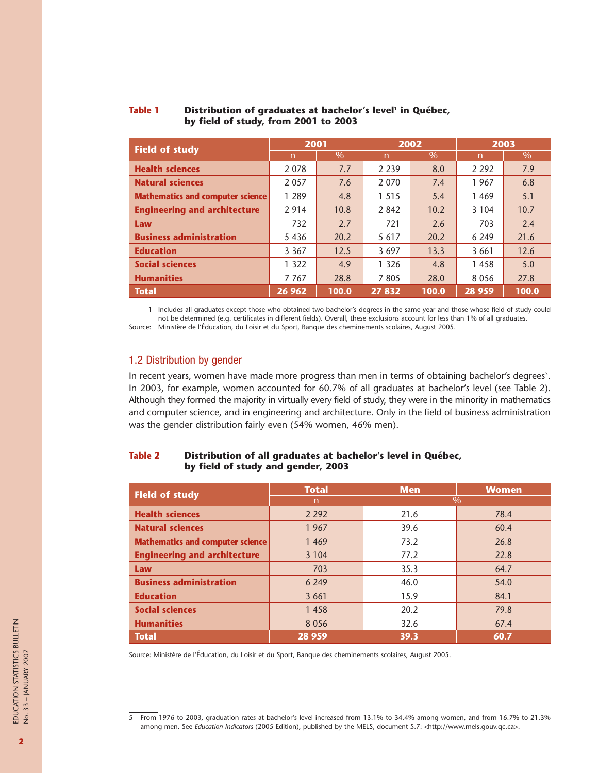| <b>Field of study</b>                   | 2001    |       |         | 2002  | 2003    |       |  |
|-----------------------------------------|---------|-------|---------|-------|---------|-------|--|
|                                         | n       | $\%$  | n       | $\%$  | n       | $\%$  |  |
| <b>Health sciences</b>                  | 2078    | 7.7   | 2 2 3 9 | 8.0   | 2 2 9 2 | 7.9   |  |
| <b>Natural sciences</b>                 | 2 0 5 7 | 7.6   | 2 0 7 0 | 7.4   | 1967    | 6.8   |  |
| <b>Mathematics and computer science</b> | 1 2 8 9 | 4.8   | 1 5 1 5 | 5.4   | 1 4 6 9 | 5.1   |  |
| <b>Engineering and architecture</b>     | 2914    | 10.8  | 2842    | 10.2  | 3 1 0 4 | 10.7  |  |
| Law                                     | 732     | 2.7   | 721     | 2.6   | 703     | 2.4   |  |
| <b>Business administration</b>          | 5436    | 20.2  | 5 6 1 7 | 20.2  | 6 2 4 9 | 21.6  |  |
| <b>Education</b>                        | 3 3 6 7 | 12.5  | 3 6 9 7 | 13.3  | 3 6 6 1 | 12.6  |  |
| <b>Social sciences</b>                  | 1 3 2 2 | 4.9   | 1 3 2 6 | 4.8   | 1458    | 5.0   |  |
| <b>Humanities</b>                       | 7 7 6 7 | 28.8  | 7 8 0 5 | 28.0  | 8 0 5 6 | 27.8  |  |
| <b>Total</b>                            | 26 962  | 100.0 | 27 832  | 100.0 | 28 959  | 100.0 |  |

#### **Table 1 Distribution of graduates at bachelor's level<sup>1</sup> in Québec, by field of study, from 2001 to 2003**

1 Includes all graduates except those who obtained two bachelor's degrees in the same year and those whose field of study could not be determined (e.g. certificates in different fields). Overall, these exclusions account for less than 1% of all graduates. Source: Ministère de l'Éducation, du Loisir et du Sport, Banque des cheminements scolaires, August 2005.

## 1.2 Distribution by gender

In recent years, women have made more progress than men in terms of obtaining bachelor's degrees $^5$ . In 2003, for example, women accounted for 60.7% of all graduates at bachelor's level (see Table 2). Although they formed the majority in virtually every field of study, they were in the minority in mathematics and computer science, and in engineering and architecture. Only in the field of business administration was the gender distribution fairly even (54% women, 46% men).

## **Table 2 Distribution of all graduates at bachelor's level in Québec, by field of study and gender, 2003**

| <b>Field of study</b>               | <b>Total</b> | <b>Men</b> | <b>Women</b> |
|-------------------------------------|--------------|------------|--------------|
|                                     | n            |            | $\%$         |
| <b>Health sciences</b>              | 2 2 9 2      | 21.6       | 78.4         |
| <b>Natural sciences</b>             | 1967         | 39.6       | 60.4         |
| Mathematics and computer science    | 1 4 6 9      | 73.2       | 26.8         |
| <b>Engineering and architecture</b> | 3 1 0 4      | 77.2       | 22.8         |
| Law                                 | 703          | 35.3       | 64.7         |
| <b>Business administration</b>      | 6 2 4 9      | 46.0       | 54.0         |
| <b>Education</b>                    | 3 6 6 1      | 15.9       | 84.1         |
| <b>Social sciences</b>              | 1458         | 20.2       | 79.8         |
| <b>Humanities</b>                   | 8 0 5 6      | 32.6       | 67.4         |
| <b>Total</b>                        | 28 959       | 39.3       | 60.7         |

<sup>5</sup> From 1976 to 2003, graduation rates at bachelor's level increased from 13.1% to 34.4% among women, and from 16.7% to 21.3% among men. See *Education Indicators* (2005 Edition), published by the MELS, document 5.7: <http://www.mels.gouv.qc.ca>.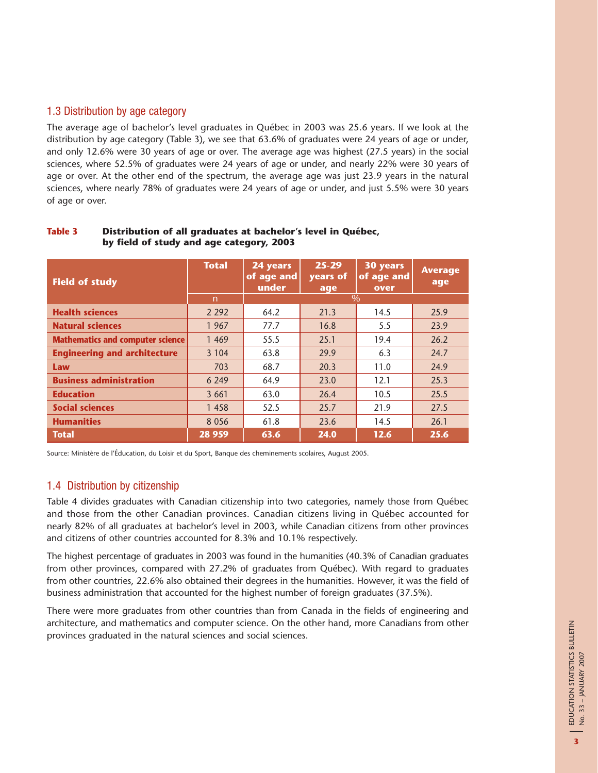## 1.3 Distribution by age category

The average age of bachelor's level graduates in Québec in 2003 was 25.6 years. If we look at the distribution by age category (Table 3), we see that 63.6% of graduates were 24 years of age or under, and only 12.6% were 30 years of age or over. The average age was highest (27.5 years) in the social sciences, where 52.5% of graduates were 24 years of age or under, and nearly 22% were 30 years of age or over. At the other end of the spectrum, the average age was just 23.9 years in the natural sciences, where nearly 78% of graduates were 24 years of age or under, and just 5.5% were 30 years of age or over.

| <b>Field of study</b>               | <b>Total</b> | 24 years<br>of age and<br>under | $25 - 29$<br>years of<br>age | 30 years<br>of age and<br>over | <b>Average</b><br>age |  |  |  |
|-------------------------------------|--------------|---------------------------------|------------------------------|--------------------------------|-----------------------|--|--|--|
|                                     | $\mathsf{n}$ | $\%$                            |                              |                                |                       |  |  |  |
| <b>Health sciences</b>              | 2 2 9 2      | 64.2                            | 21.3                         | 14.5                           | 25.9                  |  |  |  |
| <b>Natural sciences</b>             | 1 9 6 7      | 77.7                            | 16.8                         | 5.5                            | 23.9                  |  |  |  |
| Mathematics and computer science    | 1 4 6 9      | 55.5                            | 25.1                         | 19.4                           | 26.2                  |  |  |  |
| <b>Engineering and architecture</b> | 3 1 0 4      | 63.8                            | 29.9                         | 6.3                            | 24.7                  |  |  |  |
| Law                                 | 703          | 68.7                            | 20.3                         | 11.0                           | 24.9                  |  |  |  |
| <b>Business administration</b>      | 6 2 4 9      | 64.9                            | 23.0                         | 12.1                           | 25.3                  |  |  |  |
| <b>Education</b>                    | 3 6 6 1      | 63.0                            | 26.4                         | 10.5                           | 25.5                  |  |  |  |
| <b>Social sciences</b>              | 1458         | 52.5                            | 25.7                         | 21.9                           | 27.5                  |  |  |  |
| <b>Humanities</b>                   | 8 0 5 6      | 61.8                            | 23.6                         | 14.5                           | 26.1                  |  |  |  |
| <b>Total</b>                        | 28 9 59      | 63.6                            | 24.0                         | 12.6                           | 25.6                  |  |  |  |

## **Table 3 Distribution of all graduates at bachelor's level in Québec, by field of study and age category, 2003**

Source: Ministère de l'Éducation, du Loisir et du Sport, Banque des cheminements scolaires, August 2005.

## 1.4 Distribution by citizenship

Table 4 divides graduates with Canadian citizenship into two categories, namely those from Québec and those from the other Canadian provinces. Canadian citizens living in Québec accounted for nearly 82% of all graduates at bachelor's level in 2003, while Canadian citizens from other provinces and citizens of other countries accounted for 8.3% and 10.1% respectively.

The highest percentage of graduates in 2003 was found in the humanities (40.3% of Canadian graduates from other provinces, compared with 27.2% of graduates from Québec). With regard to graduates from other countries, 22.6% also obtained their degrees in the humanities. However, it was the field of business administration that accounted for the highest number of foreign graduates (37.5%).

There were more graduates from other countries than from Canada in the fields of engineering and architecture, and mathematics and computer science. On the other hand, more Canadians from other provinces graduated in the natural sciences and social sciences.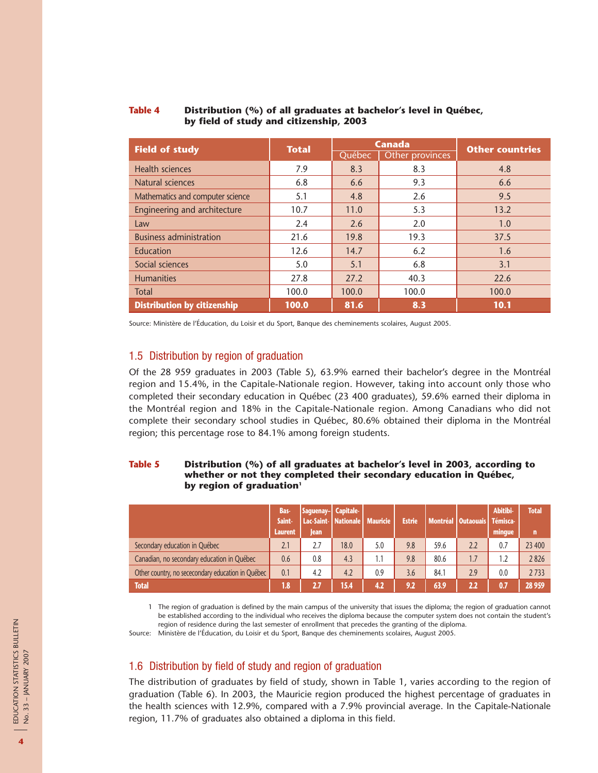#### **Table 4 Distribution (%) of all graduates at bachelor's level in Québec, by field of study and citizenship, 2003**

| <b>Field of study</b>              | <b>Total</b> |        | <b>Canada</b>   | <b>Other countries</b> |  |
|------------------------------------|--------------|--------|-----------------|------------------------|--|
|                                    |              | Québec | Other provinces |                        |  |
| Health sciences                    | 7.9          | 8.3    | 8.3             | 4.8                    |  |
| Natural sciences                   | 6.8          | 6.6    | 9.3             | 6.6                    |  |
| Mathematics and computer science   | 5.1          | 4.8    | 2.6             | 9.5                    |  |
| Engineering and architecture       | 10.7         | 11.0   | 5.3             | 13.2                   |  |
| Law                                | 2.4          | 2.6    | 2.0             | 1.0                    |  |
| <b>Business administration</b>     | 21.6         | 19.8   | 19.3            | 37.5                   |  |
| Education                          | 12.6         | 14.7   | 6.2             | 1.6                    |  |
| Social sciences                    | 5.0          | 5.1    | 6.8             | 3.1                    |  |
| <b>Humanities</b>                  | 27.8         | 27.2   | 40.3            | 22.6                   |  |
| Total                              | 100.0        | 100.0  | 100.0           | 100.0                  |  |
| <b>Distribution by citizenship</b> | 100.0        | 81.6   | 8.3             | 10.1                   |  |

Source: Ministère de l'Éducation, du Loisir et du Sport, Banque des cheminements scolaires, August 2005.

## 1.5 Distribution by region of graduation

Of the 28 959 graduates in 2003 (Table 5), 63.9% earned their bachelor's degree in the Montréal region and 15.4%, in the Capitale-Nationale region. However, taking into account only those who completed their secondary education in Québec (23 400 graduates), 59.6% earned their diploma in the Montréal region and 18% in the Capitale-Nationale region. Among Canadians who did not complete their secondary school studies in Québec, 80.6% obtained their diploma in the Montréal region; this percentage rose to 84.1% among foreign students.

#### **Table 5 Distribution (%) of all graduates at bachelor's level in 2003, according to whether or not they completed their secondary education in Québec,**  by region of graduation<sup>1</sup>

|                                                   | Bas-<br>Saint- | Saquenay-  Capitale- | Lac-Saint-   Nationale   Mauricie |     | <b>Estrie</b> |      | Montréal   Outaouais | Abitibi-<br>Témisca- | <b>Total</b> |
|---------------------------------------------------|----------------|----------------------|-----------------------------------|-----|---------------|------|----------------------|----------------------|--------------|
|                                                   | Laurent        | <b>Jean</b>          |                                   |     |               |      |                      | mingue               | n            |
| Secondary education in Québec                     | 2.1            | 2.7                  | 18.0                              | 5.0 | 9.8           | 59.6 | 2.2                  | 0.7                  | 23 400       |
| Canadian, no secondary education in Québec        | 0.6            | 0.8                  | 4.3                               | 1.1 | 9.8           | 80.6 | 1.7                  | 1.2                  | 2826         |
| Other country, no sececondary education in Québec | 0.1            | 4.2                  | 4.2                               | 0.9 | 3.6           | 84.1 | 2.9                  | 0.0                  | 2 7 3 3      |
| <b>Total</b>                                      | 1.8            | 2.7                  | 15.4                              | 4.2 | 9.2           | 63.9 | $2.2^{\circ}$        | 0.7                  | 28 9 59      |

1 The region of graduation is defined by the main campus of the university that issues the diploma; the region of graduation cannot be established according to the individual who receives the diploma because the computer system does not contain the student's region of residence during the last semester of enrollment that precedes the granting of the diploma.

Source: Ministère de l'Éducation, du Loisir et du Sport, Banque des cheminements scolaires, August 2005.

## 1.6 Distribution by field of study and region of graduation

The distribution of graduates by field of study, shown in Table 1, varies according to the region of graduation (Table 6). In 2003, the Mauricie region produced the highest percentage of graduates in the health sciences with 12.9%, compared with a 7.9% provincial average. In the Capitale-Nationale region, 11.7% of graduates also obtained a diploma in this field.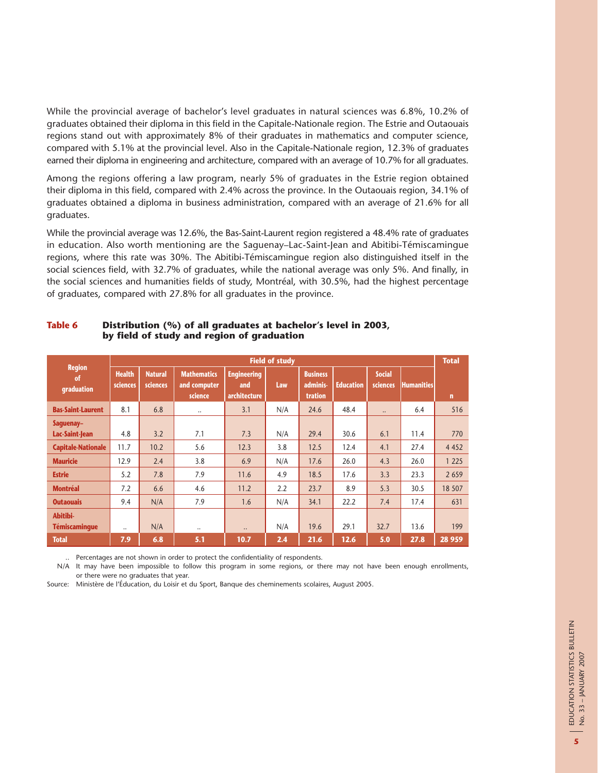While the provincial average of bachelor's level graduates in natural sciences was 6.8%, 10.2% of graduates obtained their diploma in this field in the Capitale-Nationale region. The Estrie and Outaouais regions stand out with approximately 8% of their graduates in mathematics and computer science, compared with 5.1% at the provincial level. Also in the Capitale-Nationale region, 12.3% of graduates earned their diploma in engineering and architecture, compared with an average of 10.7% for all graduates.

Among the regions offering a law program, nearly 5% of graduates in the Estrie region obtained their diploma in this field, compared with 2.4% across the province. In the Outaouais region, 34.1% of graduates obtained a diploma in business administration, compared with an average of 21.6% for all graduates.

While the provincial average was 12.6%, the Bas-Saint-Laurent region registered a 48.4% rate of graduates in education. Also worth mentioning are the Saguenay–Lac-Saint-Jean and Abitibi-Témiscamingue regions, where this rate was 30%. The Abitibi-Témiscamingue region also distinguished itself in the social sciences field, with 32.7% of graduates, while the national average was only 5%. And finally, in the social sciences and humanities fields of study, Montréal, with 30.5%, had the highest percentage of graduates, compared with 27.8% for all graduates in the province.

|                                              | <b>Field of study</b>     |                            |                                               |                                           |     |                                        |                  |                           | <b>Total</b>      |         |
|----------------------------------------------|---------------------------|----------------------------|-----------------------------------------------|-------------------------------------------|-----|----------------------------------------|------------------|---------------------------|-------------------|---------|
| <b>Region</b><br><sub>of</sub><br>graduation | <b>Health</b><br>sciences | <b>Natural</b><br>sciences | <b>Mathematics</b><br>and computer<br>science | <b>Engineering</b><br>and<br>architecture | Law | <b>Business</b><br>adminis-<br>tration | <b>Education</b> | <b>Social</b><br>sciences | <b>Humanities</b> | n       |
| <b>Bas-Saint-Laurent</b>                     | 8.1                       | 6.8                        | $\ddotsc$                                     | 3.1                                       | N/A | 24.6                                   | 48.4             | $\ddotsc$                 | 6.4               | 516     |
| Saguenay-<br><b>Lac-Saint-Jean</b>           | 4.8                       | 3.2                        | 7.1                                           | 7.3                                       | N/A | 29.4                                   | 30.6             | 6.1                       | 11.4              | 770     |
| <b>Capitale-Nationale</b>                    | 11.7                      | 10.2                       | 5.6                                           | 12.3                                      | 3.8 | 12.5                                   | 12.4             | 4.1                       | 27.4              | 4 4 5 2 |
| <b>Mauricie</b>                              | 12.9                      | 2.4                        | 3.8                                           | 6.9                                       | N/A | 17.6                                   | 26.0             | 4.3                       | 26.0              | 1 2 2 5 |
| <b>Estrie</b>                                | 5.2                       | 7.8                        | 7.9                                           | 11.6                                      | 4.9 | 18.5                                   | 17.6             | 3.3                       | 23.3              | 2 6 5 9 |
| <b>Montréal</b>                              | 7.2                       | 6.6                        | 4.6                                           | 11.2                                      | 2.2 | 23.7                                   | 8.9              | 5.3                       | 30.5              | 18 507  |
| <b>Outaouais</b>                             | 9.4                       | N/A                        | 7.9                                           | 1.6                                       | N/A | 34.1                                   | 22.2             | 7.4                       | 17.4              | 631     |
| Abitibi-<br><b>Témiscaminque</b>             | $\ddot{\phantom{a}}$      | N/A                        | $\ddotsc$                                     | $\ddotsc$                                 | N/A | 19.6                                   | 29.1             | 32.7                      | 13.6              | 199     |
| <b>Total</b>                                 | 7.9                       | 6.8                        | 5.1                                           | 10.7                                      | 2.4 | 21.6                                   | 12.6             | 5.0                       | 27.8              | 28 959  |

## **Table 6 Distribution (%) of all graduates at bachelor's level in 2003, by field of study and region of graduation**

.. Percentages are not shown in order to protect the confidentiality of respondents.

N/A It may have been impossible to follow this program in some regions, or there may not have been enough enrollments, or there were no graduates that year.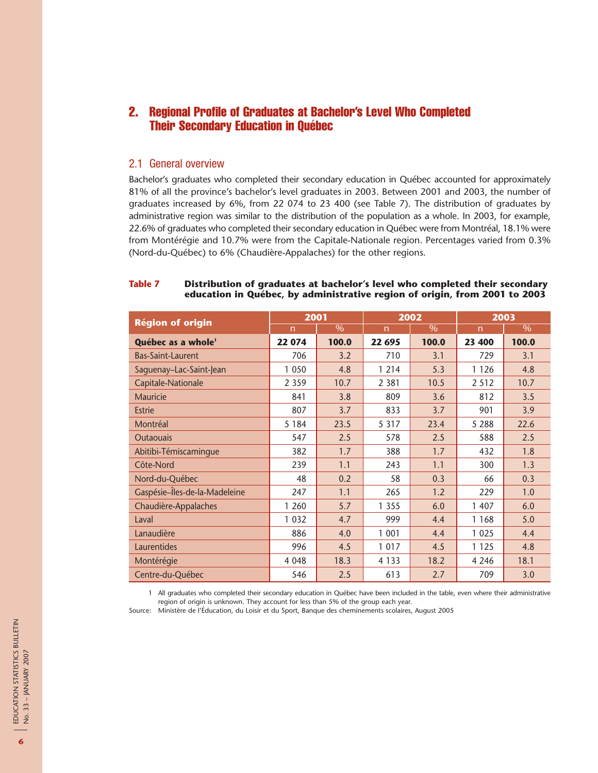## 2. Regional Profile of Graduates at Bachelor's Level Who Completed Their Secondary Education in Québec

## 2.1 General overview

Bachelor's graduates who completed their secondary education in Québec accounted for approximately 81% of all the province's bachelor's level graduates in 2003. Between 2001 and 2003, the number of graduates increased by 6%, from 22 074 to 23 400 (see Table 7). The distribution of graduates by administrative region was similar to the distribution of the population as a whole. In 2003, for example, 22.6% of graduates who completed their secondary education in Québec were from Montréal, 18.1% were from Montérégie and 10.7% were from the Capitale-Nationale region. Percentages varied from 0.3% (Nord-du-Québec) to 6% (Chaudière-Appalaches) for the other regions.

## **Table 7 Distribution of graduates at bachelor's level who completed their secondary education in Québec, by administrative region of origin, from 2001 to 2003**

| <b>Région of origin</b>        | 2001           |                 |                | 2002  | 2003         |               |  |
|--------------------------------|----------------|-----------------|----------------|-------|--------------|---------------|--|
|                                | $\overline{n}$ | $\overline{\%}$ | $\overline{n}$ | $\%$  | $\mathsf{n}$ | $\frac{0}{6}$ |  |
| Québec as a whole <sup>1</sup> | 22 074         | 100.0           | 22 695         | 100.0 | 23 400       | 100.0         |  |
| <b>Bas-Saint-Laurent</b>       | 706            | 3.2             | 710            | 3.1   | 729          | 3.1           |  |
| Saguenay-Lac-Saint-Jean        | 1 0 5 0        | 4.8             | 1 2 1 4        | 5.3   | 1 1 2 6      | 4.8           |  |
| Capitale-Nationale             | 2 3 5 9        | 10.7            | 2 3 8 1        | 10.5  | 2 5 1 2      | 10.7          |  |
| Mauricie                       | 841            | 3.8             | 809            | 3.6   | 812          | 3.5           |  |
| <b>Estrie</b>                  | 807            | 3.7             | 833            | 3.7   | 901          | 3.9           |  |
| Montréal                       | 5 1 8 4        | 23.5            | 5 3 1 7        | 23.4  | 5 2 8 8      | 22.6          |  |
| <b>Outaouais</b>               | 547            | 2.5             | 578            | 2.5   | 588          | 2.5           |  |
| Abitibi-Témiscaminque          | 382            | 1.7             | 388            | 1.7   | 432          | 1.8           |  |
| Côte-Nord                      | 239            | 1.1             | 243            | 1.1   | 300          | 1.3           |  |
| Nord-du-Québec                 | 48             | 0.2             | 58             | 0.3   | 66           | 0.3           |  |
| Gaspésie-Îles-de-la-Madeleine  | 247            | 1.1             | 265            | 1.2   | 229          | 1.0           |  |
| Chaudière-Appalaches           | 1 260          | 5.7             | 1 3 5 5        | 6.0   | 1 407        | 6.0           |  |
| Laval                          | 1 0 3 2        | 4.7             | 999            | 4.4   | 1 1 6 8      | 5.0           |  |
| Lanaudière                     | 886            | 4.0             | 1 0 0 1        | 4.4   | 1 0 2 5      | 4.4           |  |
| Laurentides                    | 996            | 4.5             | 1 0 1 7        | 4.5   | 1 1 2 5      | 4.8           |  |
| Montérégie                     | 4 0 4 8        | 18.3            | 4 1 3 3        | 18.2  | 4 2 4 6      | 18.1          |  |
| Centre-du-Québec               | 546            | 2.5             | 613            | 2.7   | 709          | 3.0           |  |

1 All graduates who completed their secondary education in Québec have been included in the table, even where their administrative region of origin is unknown. They account for less than 5% of the group each year.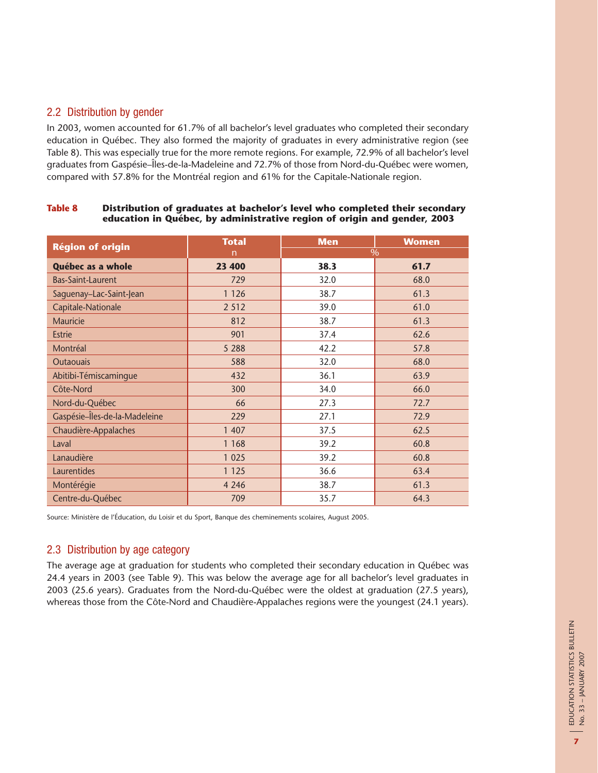## 2.2 Distribution by gender

In 2003, women accounted for 61.7% of all bachelor's level graduates who completed their secondary education in Québec. They also formed the majority of graduates in every administrative region (see Table 8). This was especially true for the more remote regions. For example, 72.9% of all bachelor's level graduates from Gaspésie–Îles-de-la-Madeleine and 72.7% of those from Nord-du-Québec were women, compared with 57.8% for the Montréal region and 61% for the Capitale-Nationale region.

| <b>Région of origin</b>       | <b>Total</b> | <b>Men</b> | <b>Women</b> |
|-------------------------------|--------------|------------|--------------|
|                               | n            |            | $\%$         |
| Québec as a whole             | 23 400       | 38.3       | 61.7         |
| <b>Bas-Saint-Laurent</b>      | 729          | 32.0       | 68.0         |
| Saguenay-Lac-Saint-Jean       | 1 1 2 6      | 38.7       | 61.3         |
| Capitale-Nationale            | 2 5 1 2      | 39.0       | 61.0         |
| Mauricie                      | 812          | 38.7       | 61.3         |
| <b>Estrie</b>                 | 901          | 37.4       | 62.6         |
| Montréal                      | 5 2 8 8      | 42.2       | 57.8         |
| <b>Outaouais</b>              | 588          | 32.0       | 68.0         |
| Abitibi-Témiscamingue         | 432          | 36.1       | 63.9         |
| Côte-Nord                     | 300          | 34.0       | 66.0         |
| Nord-du-Québec                | 66           | 27.3       | 72.7         |
| Gaspésie-Îles-de-la-Madeleine | 229          | 27.1       | 72.9         |
| Chaudière-Appalaches          | 1 407        | 37.5       | 62.5         |
| Laval                         | 1 1 6 8      | 39.2       | 60.8         |
| Lanaudière                    | 1 0 2 5      | 39.2       | 60.8         |
| Laurentides                   | 1 1 2 5      | 36.6       | 63.4         |
| Montérégie                    | 4 2 4 6      | 38.7       | 61.3         |
| Centre-du-Québec              | 709          | 35.7       | 64.3         |

#### **Table 8 Distribution of graduates at bachelor's level who completed their secondary education in Québec, by administrative region of origin and gender, 2003**

Source: Ministère de l'Éducation, du Loisir et du Sport, Banque des cheminements scolaires, August 2005.

## 2.3 Distribution by age category

The average age at graduation for students who completed their secondary education in Québec was 24.4 years in 2003 (see Table 9). This was below the average age for all bachelor's level graduates in 2003 (25.6 years). Graduates from the Nord-du-Québec were the oldest at graduation (27.5 years), whereas those from the Côte-Nord and Chaudière-Appalaches regions were the youngest (24.1 years).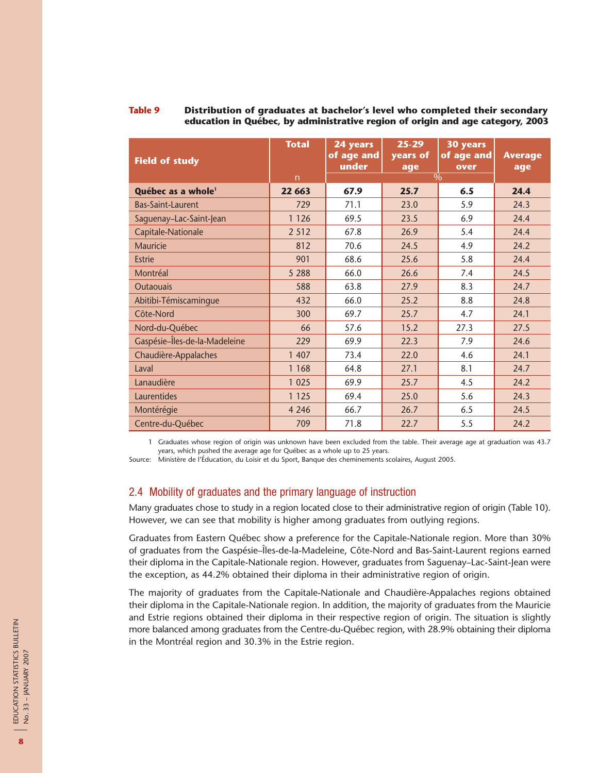#### **Table 9 Distribution of graduates at bachelor's level who completed their secondary education in Québec, by administrative region of origin and age category, 2003**

| <b>Field of study</b>          | <b>Total</b> | 24 years<br>of age and<br>under | $25 - 29$<br>years of<br>age | <b>30 years</b><br>of age and<br>over | <b>Average</b><br>age |
|--------------------------------|--------------|---------------------------------|------------------------------|---------------------------------------|-----------------------|
|                                | n            |                                 |                              | %                                     |                       |
| Québec as a whole <sup>1</sup> | 22 663       | 67.9                            | 25.7                         | 6.5                                   | 24.4                  |
| <b>Bas-Saint-Laurent</b>       | 729          | 71.1                            | 23.0                         | 5.9                                   | 24.3                  |
| Saguenay-Lac-Saint-Jean        | 1 1 2 6      | 69.5                            | 23.5                         | 6.9                                   | 24.4                  |
| Capitale-Nationale             | 2 5 1 2      | 67.8                            | 26.9                         | 5.4                                   | 24.4                  |
| Mauricie                       | 812          | 70.6                            | 24.5                         | 4.9                                   | 24.2                  |
| <b>Estrie</b>                  | 901          | 68.6                            | 25.6                         | 5.8                                   | 24.4                  |
| Montréal                       | 5 2 8 8      | 66.0                            | 26.6                         | 7.4                                   | 24.5                  |
| <b>Outaouais</b>               | 588          | 63.8                            | 27.9                         | 8.3                                   | 24.7                  |
| Abitibi-Témiscamingue          | 432          | 66.0                            | 25.2                         | 8.8                                   | 24.8                  |
| Côte-Nord                      | 300          | 69.7                            | 25.7                         | 4.7                                   | 24.1                  |
| Nord-du-Québec                 | 66           | 57.6                            | 15.2                         | 27.3                                  | 27.5                  |
| Gaspésie-Îles-de-la-Madeleine  | 229          | 69.9                            | 22.3                         | 7.9                                   | 24.6                  |
| Chaudière-Appalaches           | 1 407        | 73.4                            | 22.0                         | 4.6                                   | 24.1                  |
| Laval                          | 1 1 6 8      | 64.8                            | 27.1                         | 8.1                                   | 24.7                  |
| Lanaudière                     | 1 0 2 5      | 69.9                            | 25.7                         | 4.5                                   | 24.2                  |
| Laurentides                    | 1 1 2 5      | 69.4                            | 25.0                         | 5.6                                   | 24.3                  |
| Montérégie                     | 4 2 4 6      | 66.7                            | 26.7                         | 6.5                                   | 24.5                  |
| Centre-du-Québec               | 709          | 71.8                            | 22.7                         | 5.5                                   | 24.2                  |

1 Graduates whose region of origin was unknown have been excluded from the table. Their average age at graduation was 43.7 years, which pushed the average age for Québec as a whole up to 25 years.

Source: Ministère de l'Éducation, du Loisir et du Sport, Banque des cheminements scolaires, August 2005.

## 2.4 Mobility of graduates and the primary language of instruction

Many graduates chose to study in a region located close to their administrative region of origin (Table 10). However, we can see that mobility is higher among graduates from outlying regions.

Graduates from Eastern Québec show a preference for the Capitale-Nationale region. More than 30% of graduates from the Gaspésie–Îles-de-la-Madeleine, Côte-Nord and Bas-Saint-Laurent regions earned their diploma in the Capitale-Nationale region. However, graduates from Saguenay–Lac-Saint-Jean were the exception, as 44.2% obtained their diploma in their administrative region of origin.

The majority of graduates from the Capitale-Nationale and Chaudière-Appalaches regions obtained their diploma in the Capitale-Nationale region. In addition, the majority of graduates from the Mauricie and Estrie regions obtained their diploma in their respective region of origin. The situation is slightly more balanced among graduates from the Centre-du-Québec region, with 28.9% obtaining their diploma in the Montréal region and 30.3% in the Estrie region.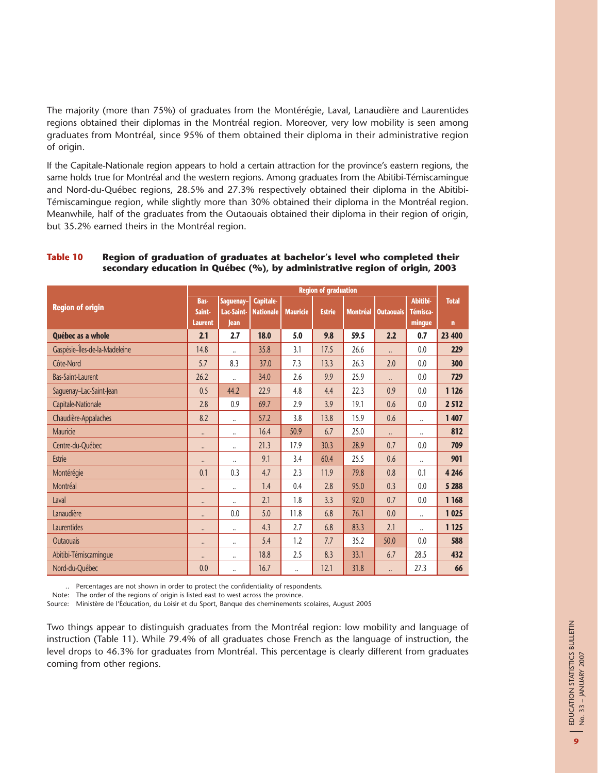The majority (more than 75%) of graduates from the Montérégie, Laval, Lanaudière and Laurentides regions obtained their diplomas in the Montréal region. Moreover, very low mobility is seen among graduates from Montréal, since 95% of them obtained their diploma in their administrative region of origin.

If the Capitale-Nationale region appears to hold a certain attraction for the province's eastern regions, the same holds true for Montréal and the western regions. Among graduates from the Abitibi-Témiscamingue and Nord-du-Québec regions, 28.5% and 27.3% respectively obtained their diploma in the Abitibi-Témiscamingue region, while slightly more than 30% obtained their diploma in the Montréal region. Meanwhile, half of the graduates from the Outaouais obtained their diploma in their region of origin, but 35.2% earned theirs in the Montréal region.

| Table 10 | Region of graduation of graduates at bachelor's level who completed their   |
|----------|-----------------------------------------------------------------------------|
|          | secondary education in Québec (%), by administrative region of origin, 2003 |

|                               | <b>Region of graduation</b> |                      |                  |                 |               |                 |                      |                      |              |
|-------------------------------|-----------------------------|----------------------|------------------|-----------------|---------------|-----------------|----------------------|----------------------|--------------|
| <b>Region of origin</b>       | Bas-                        | Saguenay-            | <b>Capitale-</b> |                 |               |                 |                      | Abitibi-             | <b>Total</b> |
|                               | Saint-                      | Lac-Saint-           | <b>Nationale</b> | <b>Mauricie</b> | <b>Estrie</b> | <b>Montréal</b> | <b>Outaouais</b>     | Témisca-             |              |
|                               | <b>Laurent</b>              | lean                 |                  |                 |               |                 |                      | mingue               | $\mathbf{n}$ |
| Québec as a whole             | 2.1                         | 2.7                  | 18.0             | 5.0             | 9.8           | 59.5            | 2.2                  | 0.7                  | 23 400       |
| Gaspésie-Îles-de-la-Madeleine | 14.8                        | $\ddot{\phantom{0}}$ | 35.8             | 3.1             | 17.5          | 26.6            |                      | 0.0                  | 229          |
| Côte-Nord                     | 5.7                         | 8.3                  | 37.0             | 7.3             | 13.3          | 26.3            | 2.0                  | 0.0                  | 300          |
| <b>Bas-Saint-Laurent</b>      | 26.2                        | $\ddot{\phantom{0}}$ | 34.0             | 2.6             | 9.9           | 25.9            |                      | 0.0                  | 729          |
| Saguenay-Lac-Saint-Jean       | 0.5                         | 44.2                 | 22.9             | 4.8             | 4.4           | 22.3            | 0.9                  | 0.0                  | 1 1 2 6      |
| Capitale-Nationale            | 2.8                         | 0.9                  | 69.7             | 2.9             | 3.9           | 19.1            | 0.6                  | 0.0                  | 2 5 1 2      |
| Chaudière-Appalaches          | 8.2                         | $\ddotsc$            | 57.2             | 3.8             | 13.8          | 15.9            | 0.6                  |                      | 1407         |
| Mauricie                      | $\ddot{\phantom{0}}$        | $\ddotsc$            | 16.4             | 50.9            | 6.7           | 25.0            | $\ddot{\phantom{a}}$ |                      | 812          |
| Centre-du-Québec              | $\ddotsc$                   | $\ddotsc$            | 21.3             | 17.9            | 30.3          | 28.9            | 0.7                  | 0.0                  | 709          |
| <b>Estrie</b>                 | $\ddot{\phantom{0}}$        | $\ddotsc$            | 9.1              | 3.4             | 60.4          | 25.5            | 0.6                  | $\ddotsc$            | 901          |
| Montérégie                    | 0.1                         | 0.3                  | 4.7              | 2.3             | 11.9          | 79.8            | 0.8                  | 0.1                  | 4 2 4 6      |
| Montréal                      | $\ddot{\phantom{a}}$        | $\ddot{\phantom{0}}$ | 1.4              | 0.4             | 2.8           | 95.0            | 0.3                  | 0.0                  | 5 2 8 8      |
| Laval                         | $\ddot{\phantom{a}}$        | $\ddotsc$            | 2.1              | 1.8             | 3.3           | 92.0            | 0.7                  | 0.0                  | 1 1 68       |
| Lanaudière                    |                             | 0.0                  | 5.0              | 11.8            | 6.8           | 76.1            | 0.0                  | $\ddot{\phantom{0}}$ | 1025         |
| Laurentides                   | $\ddot{\phantom{0}}$        | $\ddotsc$            | 4.3              | 2.7             | 6.8           | 83.3            | 2.1                  | $\ddot{\phantom{a}}$ | 1 1 2 5      |
| <b>Outaouais</b>              | $\ddot{\phantom{a}}$        | $\ddot{\phantom{0}}$ | 5.4              | 1.2             | 7.7           | 35.2            | 50.0                 | 0.0                  | 588          |
| Abitibi-Témiscaminque         |                             | $\ddotsc$            | 18.8             | 2.5             | 8.3           | 33.1            | 6.7                  | 28.5                 | 432          |
| Nord-du-Québec                | 0.0                         | $\ddot{\phantom{0}}$ | 16.7             |                 | 12.1          | 31.8            |                      | 27.3                 | 66           |

Percentages are not shown in order to protect the confidentiality of respondents.

Note: The order of the regions of origin is listed east to west across the province.

Source: Ministère de l'Éducation, du Loisir et du Sport, Banque des cheminements scolaires, August 2005

Two things appear to distinguish graduates from the Montréal region: low mobility and language of instruction (Table 11). While 79.4% of all graduates chose French as the language of instruction, the level drops to 46.3% for graduates from Montréal. This percentage is clearly different from graduates coming from other regions.

**9**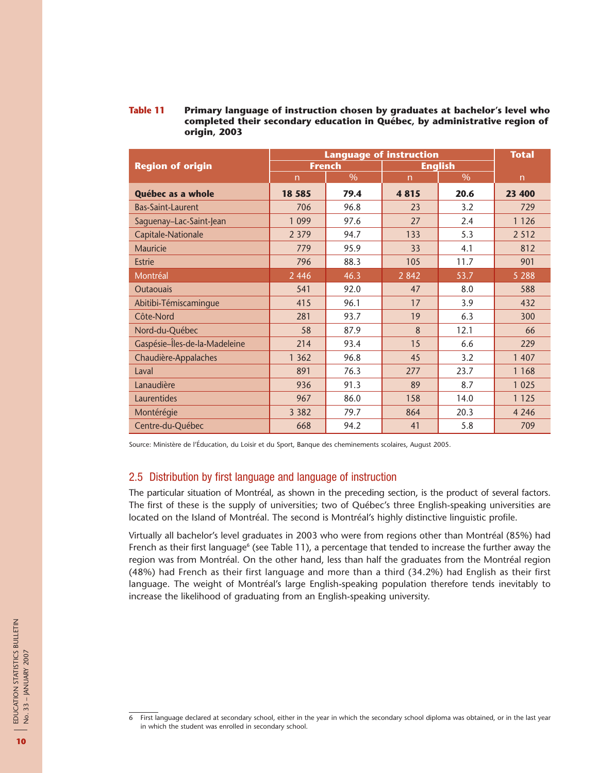#### **Table 11 Primary language of instruction chosen by graduates at bachelor's level who completed their secondary education in Québec, by administrative region of origin, 2003**

|                               | <b>Language of instruction</b> | <b>Total</b>  |                |                |              |
|-------------------------------|--------------------------------|---------------|----------------|----------------|--------------|
| <b>Region of origin</b>       |                                | <b>French</b> |                | <b>English</b> |              |
|                               | $\overline{n}$                 | $\%$          | $\overline{n}$ | $\%$           | $\mathsf{n}$ |
| Québec as a whole             | 18 5 85                        | 79.4          | 4815           | 20.6           | 23 400       |
| <b>Bas-Saint-Laurent</b>      | 706                            | 96.8          | 23             | 3.2            | 729          |
| Saguenay-Lac-Saint-Jean       | 1 0 9 9                        | 97.6          | 27             | 2.4            | 1 1 2 6      |
| Capitale-Nationale            | 2 3 7 9                        | 94.7          | 133            | 5.3            | 2 5 1 2      |
| Mauricie                      | 779                            | 95.9          | 33             | 4.1            | 812          |
| <b>Estrie</b>                 | 796                            | 88.3          | 105            | 11.7           | 901          |
| Montréal                      | 2 4 4 6                        | 46.3          | 2 8 4 2        | 53.7           | 5 2 8 8      |
| <b>Outaouais</b>              | 541                            | 92.0          | 47             | 8.0            | 588          |
| Abitibi-Témiscaminque         | 415                            | 96.1          | 17             | 3.9            | 432          |
| Côte-Nord                     | 281                            | 93.7          | 19             | 6.3            | 300          |
| Nord-du-Québec                | 58                             | 87.9          | 8              | 12.1           | 66           |
| Gaspésie-Îles-de-la-Madeleine | 214                            | 93.4          | 15             | 6.6            | 229          |
| Chaudière-Appalaches          | 1 3 6 2                        | 96.8          | 45             | 3.2            | 1 407        |
| Laval                         | 891                            | 76.3          | 277            | 23.7           | 1 1 6 8      |
| Lanaudière                    | 936                            | 91.3          | 89             | 8.7            | 1 0 2 5      |
| Laurentides                   | 967                            | 86.0          | 158            | 14.0           | 1 1 2 5      |
| Montérégie                    | 3 3 8 2                        | 79.7          | 864            | 20.3           | 4 2 4 6      |
| Centre-du-Québec              | 668                            | 94.2          | 41             | 5.8            | 709          |

Source: Ministère de l'Éducation, du Loisir et du Sport, Banque des cheminements scolaires, August 2005.

## 2.5 Distribution by first language and language of instruction

The particular situation of Montréal, as shown in the preceding section, is the product of several factors. The first of these is the supply of universities; two of Québec's three English-speaking universities are located on the Island of Montréal. The second is Montréal's highly distinctive linguistic profile.

Virtually all bachelor's level graduates in 2003 who were from regions other than Montréal (85%) had French as their first language $6$  (see Table 11), a percentage that tended to increase the further away the region was from Montréal. On the other hand, less than half the graduates from the Montréal region (48%) had French as their first language and more than a third (34.2%) had English as their first language. The weight of Montréal's large English-speaking population therefore tends inevitably to increase the likelihood of graduating from an English-speaking university.

<sup>6</sup> First language declared at secondary school, either in the year in which the secondary school diploma was obtained, or in the last year in which the student was enrolled in secondary school.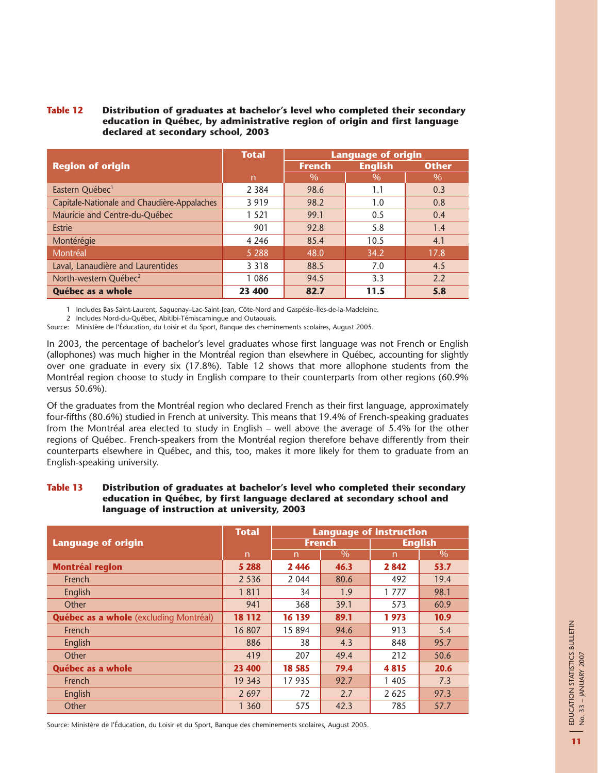## **Table 12 Distribution of graduates at bachelor's level who completed their secondary education in Québec, by administrative region of origin and first language declared at secondary school, 2003**

|                                             | <b>Total</b> | <b>Language of origin</b> |                |              |  |  |
|---------------------------------------------|--------------|---------------------------|----------------|--------------|--|--|
| <b>Region of origin</b>                     |              | <b>French</b>             | <b>English</b> | <b>Other</b> |  |  |
|                                             | n            | $\%$                      | $\%$           | $\%$         |  |  |
| Eastern Québec <sup>1</sup>                 | 2 3 8 4      | 98.6                      | 1.1            | 0.3          |  |  |
| Capitale-Nationale and Chaudière-Appalaches | 3 9 1 9      | 98.2                      | 1.0            | 0.8          |  |  |
| Mauricie and Centre-du-Québec               | 1 5 2 1      | 99.1                      | 0.5            | 0.4          |  |  |
| <b>Estrie</b>                               | 901          | 92.8                      | 5.8            | 1.4          |  |  |
| Montérégie                                  | 4 2 4 6      | 85.4                      | 10.5           | 4.1          |  |  |
| Montréal                                    | 5 2 8 8      | 48.0                      | 34.2           | 17.8         |  |  |
| Laval, Lanaudière and Laurentides           | 3 3 1 8      | 88.5                      | 7.0            | 4.5          |  |  |
| North-western Québec <sup>2</sup>           | 1 086        | 94.5                      | 3.3            | 2.2          |  |  |
| Québec as a whole                           | 23 400       | 82.7                      | 11.5           | 5.8          |  |  |

1 Includes Bas-Saint-Laurent, Saguenay–Lac-Saint-Jean, Côte-Nord and Gaspésie–Îles-de-la-Madeleine.

2 Includes Nord-du-Québec, Abitibi-Témiscamingue and Outaouais.

Source: Ministère de l'Éducation, du Loisir et du Sport, Banque des cheminements scolaires, August 2005.

In 2003, the percentage of bachelor's level graduates whose first language was not French or English (allophones) was much higher in the Montréal region than elsewhere in Québec, accounting for slightly over one graduate in every six (17.8%). Table 12 shows that more allophone students from the Montréal region choose to study in English compare to their counterparts from other regions (60.9% versus 50.6%).

Of the graduates from the Montréal region who declared French as their first language, approximately four-fifths (80.6%) studied in French at university. This means that 19.4% of French-speaking graduates from the Montréal area elected to study in English – well above the average of 5.4% for the other regions of Québec. French-speakers from the Montréal region therefore behave differently from their counterparts elsewhere in Québec, and this, too, makes it more likely for them to graduate from an English-speaking university.

#### **Table 13 Distribution of graduates at bachelor's level who completed their secondary education in Québec, by first language declared at secondary school and language of instruction at university, 2003**

|                                               | <b>Total</b>   | <b>Language of instruction</b>  |      |                |      |
|-----------------------------------------------|----------------|---------------------------------|------|----------------|------|
| <b>Language of origin</b>                     |                | <b>English</b><br><b>French</b> |      |                |      |
|                                               | $\overline{n}$ | n.                              | $\%$ | $\overline{n}$ | $\%$ |
| <b>Montréal region</b>                        | 5 2 8 8        | 2446                            | 46.3 | 2842           | 53.7 |
| French                                        | 2 5 3 6        | 2 0 4 4                         | 80.6 | 492            | 19.4 |
| English                                       | 1811           | 34                              | 1.9  | 1 777          | 98.1 |
| Other                                         | 941            | 368                             | 39.1 | 573            | 60.9 |
| <b>Québec as a whole</b> (excluding Montréal) | 18 112         | 16 139                          | 89.1 | 1973           | 10.9 |
| French                                        | 16 807         | 15 894                          | 94.6 | 913            | 5.4  |
| English                                       | 886            | 38                              | 4.3  | 848            | 95.7 |
| Other                                         | 419            | 207                             | 49.4 | 212            | 50.6 |
| Québec as a whole                             | 23 400         | 18 5 85                         | 79.4 | 4815           | 20.6 |
| French                                        | 19 343         | 17935                           | 92.7 | 1 4 0 5        | 7.3  |
| English                                       | 2 6 9 7        | 72                              | 2.7  | 2 6 2 5        | 97.3 |
| Other                                         | 1 3 6 0        | 575                             | 42.3 | 785            | 57.7 |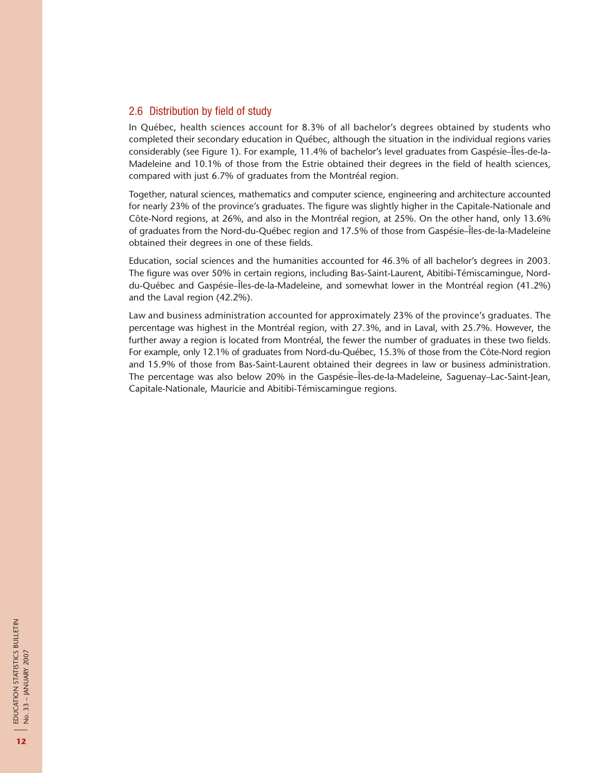## 2.6 Distribution by field of study

In Québec, health sciences account for 8.3% of all bachelor's degrees obtained by students who completed their secondary education in Québec, although the situation in the individual regions varies considerably (see Figure 1). For example, 11.4% of bachelor's level graduates from Gaspésie–Îles-de-la-Madeleine and 10.1% of those from the Estrie obtained their degrees in the field of health sciences, compared with just 6.7% of graduates from the Montréal region.

Together, natural sciences, mathematics and computer science, engineering and architecture accounted for nearly 23% of the province's graduates. The figure was slightly higher in the Capitale-Nationale and Côte-Nord regions, at 26%, and also in the Montréal region, at 25%. On the other hand, only 13.6% of graduates from the Nord-du-Québec region and 17.5% of those from Gaspésie–Îles-de-la-Madeleine obtained their degrees in one of these fields.

Education, social sciences and the humanities accounted for 46.3% of all bachelor's degrees in 2003. The figure was over 50% in certain regions, including Bas-Saint-Laurent, Abitibi-Témiscamingue, Norddu-Québec and Gaspésie–Îles-de-la-Madeleine, and somewhat lower in the Montréal region (41.2%) and the Laval region (42.2%).

Law and business administration accounted for approximately 23% of the province's graduates. The percentage was highest in the Montréal region, with 27.3%, and in Laval, with 25.7%. However, the further away a region is located from Montréal, the fewer the number of graduates in these two fields. For example, only 12.1% of graduates from Nord-du-Québec, 15.3% of those from the Côte-Nord region and 15.9% of those from Bas-Saint-Laurent obtained their degrees in law or business administration. The percentage was also below 20% in the Gaspésie–Îles-de-la-Madeleine, Saguenay–Lac-Saint-Jean, Capitale-Nationale, Mauricie and Abitibi-Témiscamingue regions.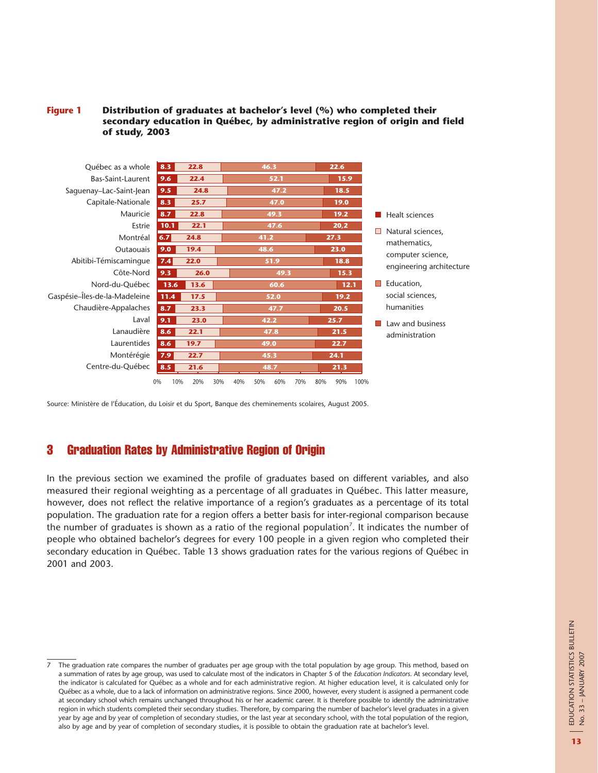#### **Figure 1 Distribution of graduates at bachelor's level (%) who completed their secondary education in Québec, by administrative region of origin and field of study, 2003**



Source: Ministère de l'Éducation, du Loisir et du Sport, Banque des cheminements scolaires, August 2005.

# 3 Graduation Rates by Administrative Region of Origin

In the previous section we examined the profile of graduates based on different variables, and also measured their regional weighting as a percentage of all graduates in Québec. This latter measure, however, does not reflect the relative importance of a region's graduates as a percentage of its total population. The graduation rate for a region offers a better basis for inter-regional comparison because the number of graduates is shown as a ratio of the regional population<sup>7</sup>. It indicates the number of people who obtained bachelor's degrees for every 100 people in a given region who completed their secondary education in Québec. Table 13 shows graduation rates for the various regions of Québec in 2001 and 2003.

The graduation rate compares the number of graduates per age group with the total population by age group. This method, based on a summation of rates by age group, was used to calculate most of the indicators in Chapter 5 of the *Education Indicators*. At secondary level, the indicator is calculated for Québec as a whole and for each administrative region. At higher education level, it is calculated only for Québec as a whole, due to a lack of information on administrative regions. Since 2000, however, every student is assigned a permanent code at secondary school which remains unchanged throughout his or her academic career. It is therefore possible to identify the administrative region in which students completed their secondary studies. Therefore, by comparing the number of bachelor's level graduates in a given year by age and by year of completion of secondary studies, or the last year at secondary school, with the total population of the region, also by age and by year of completion of secondary studies, it is possible to obtain the graduation rate at bachelor's level.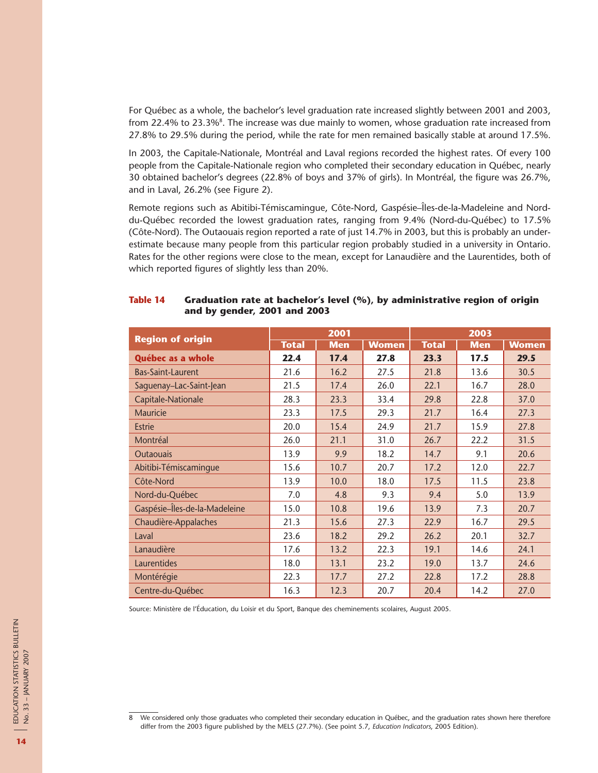For Québec as a whole, the bachelor's level graduation rate increased slightly between 2001 and 2003, from 22.4% to 23.3% $^{\rm 8}.$  The increase was due mainly to women, whose graduation rate increased from 27.8% to 29.5% during the period, while the rate for men remained basically stable at around 17.5%.

In 2003, the Capitale-Nationale, Montréal and Laval regions recorded the highest rates. Of every 100 people from the Capitale-Nationale region who completed their secondary education in Québec, nearly 30 obtained bachelor's degrees (22.8% of boys and 37% of girls). In Montréal, the figure was 26.7%, and in Laval, 26.2% (see Figure 2).

Remote regions such as Abitibi-Témiscamingue, Côte-Nord, Gaspésie–Îles-de-la-Madeleine and Norddu-Québec recorded the lowest graduation rates, ranging from 9.4% (Nord-du-Québec) to 17.5% (Côte-Nord). The Outaouais region reported a rate of just 14.7% in 2003, but this is probably an underestimate because many people from this particular region probably studied in a university in Ontario. Rates for the other regions were close to the mean, except for Lanaudière and the Laurentides, both of which reported figures of slightly less than 20%.

|                               |              | 2001       |              | 2003         |            |              |  |
|-------------------------------|--------------|------------|--------------|--------------|------------|--------------|--|
| <b>Region of origin</b>       | <b>Total</b> | <b>Men</b> | <b>Women</b> | <b>Total</b> | <b>Men</b> | <b>Women</b> |  |
| Québec as a whole             | 22.4         | 17.4       | 27.8         | 23.3         | 17.5       | 29.5         |  |
| <b>Bas-Saint-Laurent</b>      | 21.6         | 16.2       | 27.5         | 21.8         | 13.6       | 30.5         |  |
| Saguenay-Lac-Saint-Jean       | 21.5         | 17.4       | 26.0         | 22.1         | 16.7       | 28.0         |  |
| Capitale-Nationale            | 28.3         | 23.3       | 33.4         | 29.8         | 22.8       | 37.0         |  |
| Mauricie                      | 23.3         | 17.5       | 29.3         | 21.7         | 16.4       | 27.3         |  |
| <b>Estrie</b>                 | 20.0         | 15.4       | 24.9         | 21.7         | 15.9       | 27.8         |  |
| Montréal                      | 26.0         | 21.1       | 31.0         | 26.7         | 22.2       | 31.5         |  |
| <b>Outaouais</b>              | 13.9         | 9.9        | 18.2         | 14.7         | 9.1        | 20.6         |  |
| Abitibi-Témiscaminque         | 15.6         | 10.7       | 20.7         | 17.2         | 12.0       | 22.7         |  |
| Côte-Nord                     | 13.9         | 10.0       | 18.0         | 17.5         | 11.5       | 23.8         |  |
| Nord-du-Québec                | 7.0          | 4.8        | 9.3          | 9.4          | 5.0        | 13.9         |  |
| Gaspésie-Îles-de-la-Madeleine | 15.0         | 10.8       | 19.6         | 13.9         | 7.3        | 20.7         |  |
| Chaudière-Appalaches          | 21.3         | 15.6       | 27.3         | 22.9         | 16.7       | 29.5         |  |
| Laval                         | 23.6         | 18.2       | 29.2         | 26.2         | 20.1       | 32.7         |  |
| Lanaudière                    | 17.6         | 13.2       | 22.3         | 19.1         | 14.6       | 24.1         |  |
| Laurentides                   | 18.0         | 13.1       | 23.2         | 19.0         | 13.7       | 24.6         |  |
| Montérégie                    | 22.3         | 17.7       | 27.2         | 22.8         | 17.2       | 28.8         |  |
| Centre-du-Québec              | 16.3         | 12.3       | 20.7         | 20.4         | 14.2       | 27.0         |  |

#### **Table 14 Graduation rate at bachelor's level (%), by administrative region of origin and by gender, 2001 and 2003**

<sup>8</sup> We considered only those graduates who completed their secondary education in Québec, and the graduation rates shown here therefore differ from the 2003 figure published by the MELS (27.7%). (See point 5.7, *Education Indicators*, 2005 Edition).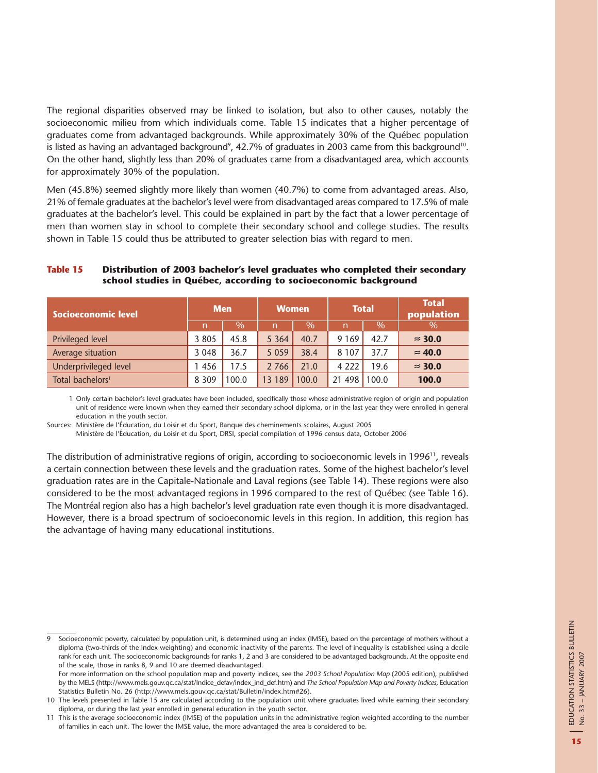The regional disparities observed may be linked to isolation, but also to other causes, notably the socioeconomic milieu from which individuals come. Table 15 indicates that a higher percentage of graduates come from advantaged backgrounds. While approximately 30% of the Québec population is listed as having an advantaged background $^{\circ}$ , 42.7% of graduates in 2003 came from this background $^{\text{10}}$ . On the other hand, slightly less than 20% of graduates came from a disadvantaged area, which accounts for approximately 30% of the population.

Men (45.8%) seemed slightly more likely than women (40.7%) to come from advantaged areas. Also, 21% of female graduates at the bachelor's level were from disadvantaged areas compared to 17.5% of male graduates at the bachelor's level. This could be explained in part by the fact that a lower percentage of men than women stay in school to complete their secondary school and college studies. The results shown in Table 15 could thus be attributed to greater selection bias with regard to men.

| Socioeconomic level          | <b>Men</b> |               | <b>Women</b> |                            | <b>Total</b> |       | <b>Total</b><br>population |
|------------------------------|------------|---------------|--------------|----------------------------|--------------|-------|----------------------------|
|                              | n          | $\frac{0}{0}$ | n            | $\overline{\mathcal{O}}_0$ | n            | $\%$  | $\%$                       |
| Privileged level             | 3 8 0 5    | 45.8          | 5 3 6 4      | 40.7                       | 9 1 6 9      | 42.7  | $\approx$ 30.0             |
| Average situation            | 3 0 4 8    | 36.7          | 5 0 5 9      | 38.4                       | 8 1 0 7      | 37.7  | $\approx$ 40.0             |
| Underprivileged level        | 456        | 17.5          | 2 7 6 6      | 21.0                       | 4 2 2 2      | 19.6  | $\approx$ 30.0             |
| Total bachelors <sup>1</sup> | 8 3 0 9    | 00.0          | 13 189       | 100.0                      | 498<br>21    | 100.0 | 100.0                      |

## **Table 15 Distribution of 2003 bachelor's level graduates who completed their secondary school studies in Québec, according to socioeconomic background**

1 Only certain bachelor's level graduates have been included, specifically those whose administrative region of origin and population unit of residence were known when they earned their secondary school diploma, or in the last year they were enrolled in general education in the youth sector.

Sources: Ministère de l'Éducation, du Loisir et du Sport, Banque des cheminements scolaires, August 2005

Ministère de l'Éducation, du Loisir et du Sport, DRSI, special compilation of 1996 census data, October 2006

The distribution of administrative regions of origin, according to socioeconomic levels in 1996<sup>11</sup>, reveals a certain connection between these levels and the graduation rates. Some of the highest bachelor's level graduation rates are in the Capitale-Nationale and Laval regions (see Table 14). These regions were also considered to be the most advantaged regions in 1996 compared to the rest of Québec (see Table 16). The Montréal region also has a high bachelor's level graduation rate even though it is more disadvantaged. However, there is a broad spectrum of socioeconomic levels in this region. In addition, this region has the advantage of having many educational institutions.

Socioeconomic poverty, calculated by population unit, is determined using an index (IMSE), based on the percentage of mothers without a diploma (two-thirds of the index weighting) and economic inactivity of the parents. The level of inequality is established using a decile rank for each unit. The socioeconomic backgrounds for ranks 1, 2 and 3 are considered to be advantaged backgrounds. At the opposite end of the scale, those in ranks 8, 9 and 10 are deemed disadvantaged. For more information on the school population map and poverty indices, see the *2003 School Population Map* (2005 edition), published

by the MELS (http://www.mels.gouv.qc.ca/stat/Indice\_defav/index\_ind\_def.htm) and *The School Population Map and Poverty Indices*, Education Statistics Bulletin No. 26 (http://www.mels.gouv.qc.ca/stat/Bulletin/index.htm#26).

<sup>10</sup> The levels presented in Table 15 are calculated according to the population unit where graduates lived while earning their secondary diploma, or during the last year enrolled in general education in the youth sector.

<sup>11</sup> This is the average socioeconomic index (IMSE) of the population units in the administrative region weighted according to the number of families in each unit. The lower the IMSE value, the more advantaged the area is considered to be.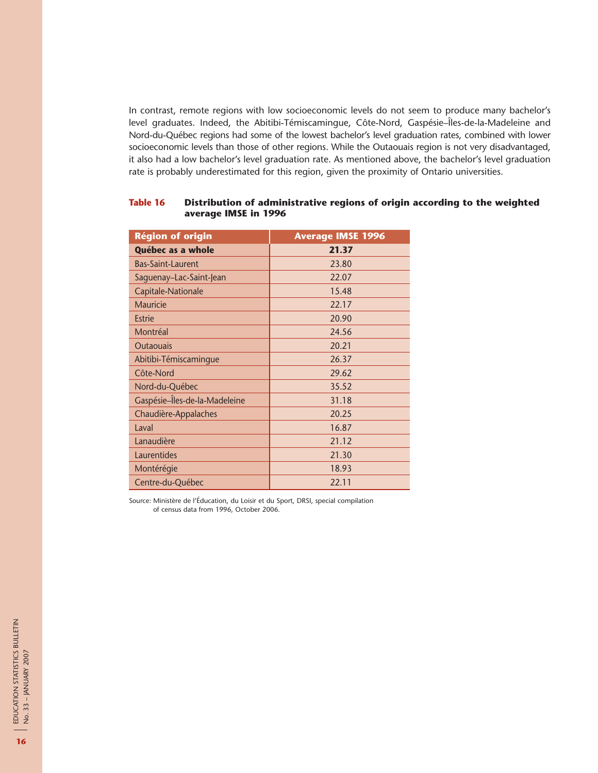In contrast, remote regions with low socioeconomic levels do not seem to produce many bachelor's level graduates. Indeed, the Abitibi-Témiscamingue, Côte-Nord, Gaspésie–Îles-de-la-Madeleine and Nord-du-Québec regions had some of the lowest bachelor's level graduation rates, combined with lower socioeconomic levels than those of other regions. While the Outaouais region is not very disadvantaged, it also had a low bachelor's level graduation rate. As mentioned above, the bachelor's level graduation rate is probably underestimated for this region, given the proximity of Ontario universities.

| <b>Région of origin</b>       | <b>Average IMSE 1996</b> |
|-------------------------------|--------------------------|
| Québec as a whole             | 21.37                    |
| <b>Bas-Saint-Laurent</b>      | 23.80                    |
| Saguenay-Lac-Saint-Jean       | 22.07                    |
| Capitale-Nationale            | 15.48                    |
| <b>Mauricie</b>               | 22.17                    |
| <b>Estrie</b>                 | 20.90                    |
| Montréal                      | 24.56                    |
| <b>Outaouais</b>              | 20.21                    |
| Abitibi-Témiscaminque         | 26.37                    |
| Côte-Nord                     | 29.62                    |
| Nord-du-Québec                | 35.52                    |
| Gaspésie-Îles-de-la-Madeleine | 31.18                    |
| Chaudière-Appalaches          | 20.25                    |
| Laval                         | 16.87                    |
| Lanaudière                    | 21.12                    |
| Laurentides                   | 21.30                    |
| Montérégie                    | 18.93                    |
| Centre-du-Québec              | 22.11                    |

#### **Table 16 Distribution of administrative regions of origin according to the weighted average IMSE in 1996**

Source: Ministère de l'Éducation, du Loisir et du Sport, DRSI, special compilation of census data from 1996, October 2006.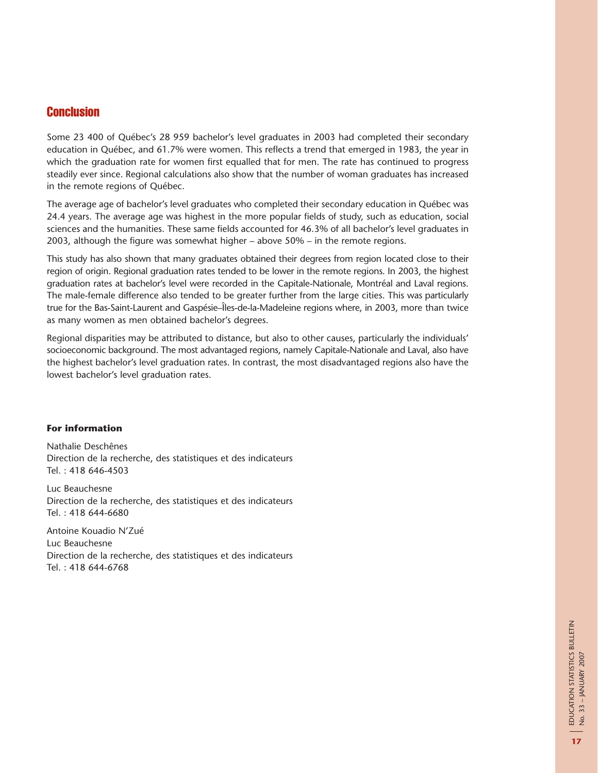# **Conclusion**

Some 23 400 of Québec's 28 959 bachelor's level graduates in 2003 had completed their secondary education in Québec, and 61.7% were women. This reflects a trend that emerged in 1983, the year in which the graduation rate for women first equalled that for men. The rate has continued to progress steadily ever since. Regional calculations also show that the number of woman graduates has increased in the remote regions of Québec.

The average age of bachelor's level graduates who completed their secondary education in Québec was 24.4 years. The average age was highest in the more popular fields of study, such as education, social sciences and the humanities. These same fields accounted for 46.3% of all bachelor's level graduates in 2003, although the figure was somewhat higher – above 50% – in the remote regions.

This study has also shown that many graduates obtained their degrees from region located close to their region of origin. Regional graduation rates tended to be lower in the remote regions. In 2003, the highest graduation rates at bachelor's level were recorded in the Capitale-Nationale, Montréal and Laval regions. The male-female difference also tended to be greater further from the large cities. This was particularly true for the Bas-Saint-Laurent and Gaspésie–Îles-de-la-Madeleine regions where, in 2003, more than twice as many women as men obtained bachelor's degrees.

Regional disparities may be attributed to distance, but also to other causes, particularly the individuals' socioeconomic background. The most advantaged regions, namely Capitale-Nationale and Laval, also have the highest bachelor's level graduation rates. In contrast, the most disadvantaged regions also have the lowest bachelor's level graduation rates.

## **For information**

Nathalie Deschênes Direction de la recherche, des statistiques et des indicateurs  $Tel \cdot 4186464503$ 

Luc Beauchesne Direction de la recherche, des statistiques et des indicateurs Tel. : 418 644-6680

Antoine Kouadio N'Zué Luc Beauchesne Direction de la recherche, des statistiques et des indicateurs Tel. : 418 644-6768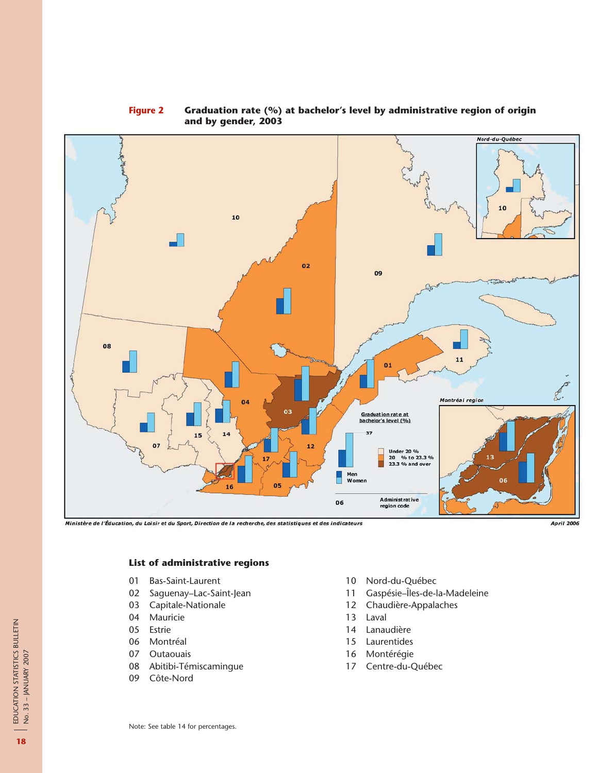

#### **Figure 2 Graduation rate (%) at bachelor's level by administrative region of origin and by gender, 2003**

Ministère de l'Éducation, du Loisir et du Sport, Direction de la recherche, des statistiques et des indicateurs

**April 2006** 

## **List of administrative regions**

- 01 Bas-Saint-Laurent
- 02 Saguenay–Lac-Saint-Jean
- 03 Capitale-Nationale
- 04 Mauricie
- 05 Estrie
- 06 Montréal
- 07 Outaouais
- 08 Abitibi-Témiscamingue
- 09 Côte-Nord
- 10 Nord-du-Québec
- 11 Gaspésie–Îles-de-la-Madeleine
- 12 Chaudière-Appalaches
- 13 Laval
- 14 Lanaudière
- 15 Laurentides
- 16 Montérégie
- 17 Centre-du-Québec

Note: See table 14 for percentages.